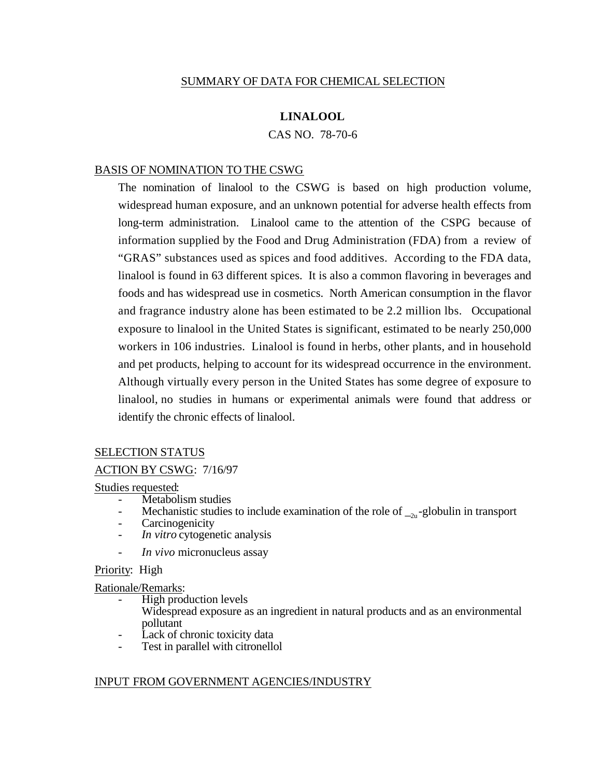# SUMMARY OF DATA FOR CHEMICAL SELECTION

# **LINALOOL**

CAS NO. 78-70-6

## BASIS OF NOMINATION TO THE CSWG

The nomination of linalool to the CSWG is based on high production volume, widespread human exposure, and an unknown potential for adverse health effects from long-term administration. Linalool came to the attention of the CSPG because of information supplied by the Food and Drug Administration (FDA) from a review of "GRAS" substances used as spices and food additives. According to the FDA data, linalool is found in 63 different spices. It is also a common flavoring in beverages and foods and has widespread use in cosmetics. North American consumption in the flavor and fragrance industry alone has been estimated to be 2.2 million lbs. Occupational exposure to linalool in the United States is significant, estimated to be nearly 250,000 workers in 106 industries. Linalool is found in herbs, other plants, and in household and pet products, helping to account for its widespread occurrence in the environment. Although virtually every person in the United States has some degree of exposure to linalool, no studies in humans or experimental animals were found that address or identify the chronic effects of linalool.

#### SELECTION STATUS

## ACTION BY CSWG: 7/16/97

### Studies requested:

- Metabolism studies
- Mechanistic studies to include examination of the role of  $\Box_{2u}$ -globulin in transport
- **Carcinogenicity**
- *In vitro* cytogenetic analysis
- *In vivo* micronucleus assay

#### Priority: High

# Rationale/Remarks:

- High production levels
- Widespread exposure as an ingredient in natural products and as an environmental pollutant
- Lack of chronic toxicity data
- Test in parallel with citronellol

#### INPUT FROM GOVERNMENT AGENCIES/INDUSTRY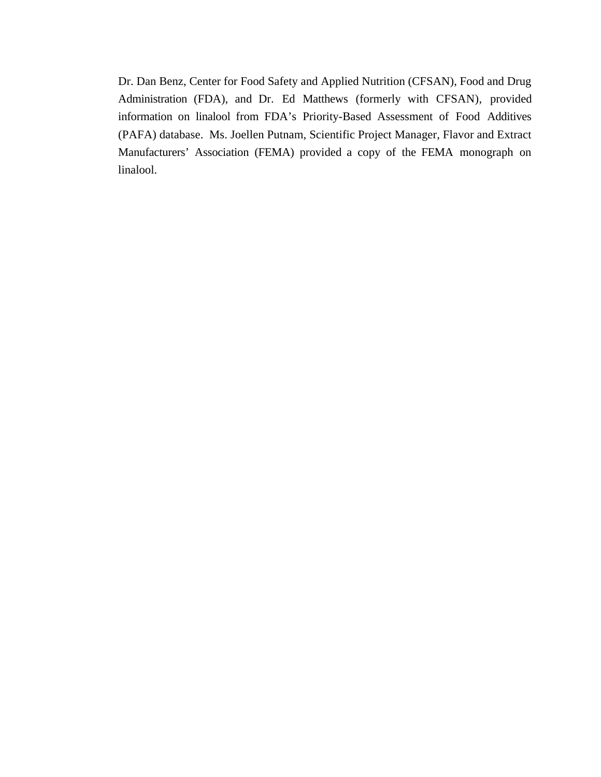Dr. Dan Benz, Center for Food Safety and Applied Nutrition (CFSAN), Food and Drug Administration (FDA), and Dr. Ed Matthews (formerly with CFSAN), provided information on linalool from FDA's Priority-Based Assessment of Food Additives (PAFA) database. Ms. Joellen Putnam, Scientific Project Manager, Flavor and Extract Manufacturers' Association (FEMA) provided a copy of the FEMA monograph on linalool.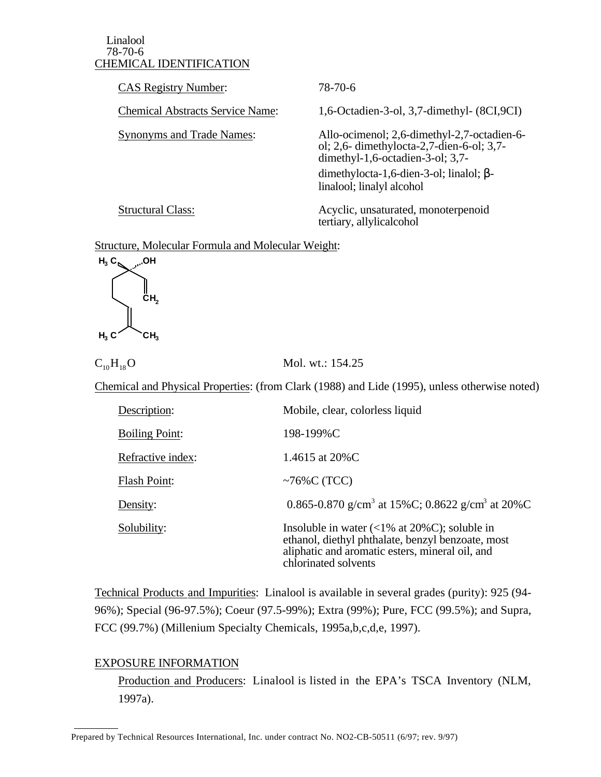## CHEMICAL IDENTIFICATION Linalool 78-70-6

CAS Registry Number: 78-70-6

**Chemical Abstracts Service Name:** 

**Synonyms and Trade Names:** 

1,6-Octadien-3-ol, 3,7-dimethyl- (8CI,9CI)

Allo-ocimenol; 2,6-dimethyl-2,7-octadien-6ol; 2,6- dimethylocta-2,7-dien-6-ol; 3,7 dimethyl-1,6-octadien-3-ol; 3,7 dimethylocta-1,6-dien-3-ol; linalol; linalool; linalyl alcohol

**Structural Class:** 

Acyclic, unsaturated, monoterpenoid tertiary, allylicalcohol

# Structure, Molecular Formula and Molecular Weight:



 $C_{10}H_{18}O$  Mol. wt.: 154.25

Chemical and Physical Properties: (from Clark (1988) and Lide (1995), unless otherwise noted)

| Description:          | Mobile, clear, colorless liquid                                                                                                                                                       |
|-----------------------|---------------------------------------------------------------------------------------------------------------------------------------------------------------------------------------|
| <b>Boiling Point:</b> | 198-199%C                                                                                                                                                                             |
| Refractive index:     | 1.4615 at 20%C                                                                                                                                                                        |
| <b>Flash Point:</b>   | ~76%C (TCC)                                                                                                                                                                           |
| Density:              | 0.865-0.870 g/cm <sup>3</sup> at 15%C; 0.8622 g/cm <sup>3</sup> at 20%C                                                                                                               |
| Solubility:           | Insoluble in water $\left($ < 1% at 20%C); soluble in<br>ethanol, diethyl phthalate, benzyl benzoate, most<br>aliphatic and aromatic esters, mineral oil, and<br>chlorinated solvents |

 Technical Products and Impurities: Linalool is available in several grades (purity): 925 (94- 96%); Special (96-97.5%); Coeur (97.5-99%); Extra (99%); Pure, FCC (99.5%); and Supra, FCC (99.7%) (Millenium Specialty Chemicals, 1995a,b,c,d,e, 1997).

# EXPOSURE INFORMATION

 $\overline{a}$ 

Production and Producers: Linalool is listed in the EPA's TSCA Inventory (NLM, 1997a).

Prepared by Technical Resources International, Inc. under contract No. NO2-CB-50511 (6/97; rev. 9/97)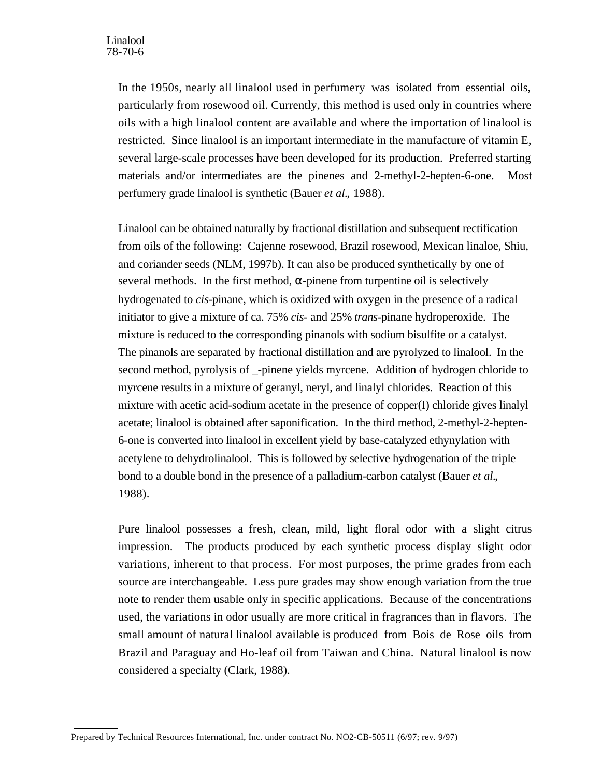In the 1950s, nearly all linalool used in perfumery was isolated from essential oils, particularly from rosewood oil. Currently, this method is used only in countries where oils with a high linalool content are available and where the importation of linalool is restricted. Since linalool is an important intermediate in the manufacture of vitamin E, several large-scale processes have been developed for its production. Preferred starting materials and/or intermediates are the pinenes and 2-methyl-2-hepten-6-one. Most perfumery grade linalool is synthetic (Bauer *et al.*, 1988).

Linalool can be obtained naturally by fractional distillation and subsequent rectification from oils of the following: Cajenne rosewood, Brazil rosewood, Mexican linaloe, Shiu, and coriander seeds (NLM, 1997b). It can also be produced synthetically by one of several methods. In the first method, -pinene from turpentine oil is selectively hydrogenated to *cis*-pinane, which is oxidized with oxygen in the presence of a radical initiator to give a mixture of ca. 75% *cis*- and 25% *trans-*pinane hydroperoxide. The mixture is reduced to the corresponding pinanols with sodium bisulfite or a catalyst. The pinanols are separated by fractional distillation and are pyrolyzed to linalool. In the second method, pyrolysis of \_-pinene yields myrcene. Addition of hydrogen chloride to myrcene results in a mixture of geranyl, neryl, and linalyl chlorides. Reaction of this mixture with acetic acid-sodium acetate in the presence of copper(I) chloride gives linalyl acetate; linalool is obtained after saponification. In the third method, 2-methyl-2-hepten-6-one is converted into linalool in excellent yield by base-catalyzed ethynylation with acetylene to dehydrolinalool. This is followed by selective hydrogenation of the triple bond to a double bond in the presence of a palladium-carbon catalyst (Bauer *et al.*, 1988).

Pure linalool possesses a fresh, clean, mild, light floral odor with a slight citrus impression. The products produced by each synthetic process display slight odor variations, inherent to that process. For most purposes, the prime grades from each source are interchangeable. Less pure grades may show enough variation from the true note to render them usable only in specific applications. Because of the concentrations used, the variations in odor usually are more critical in fragrances than in flavors. The small amount of natural linalool available is produced from Bois de Rose oils from Brazil and Paraguay and Ho-leaf oil from Taiwan and China. Natural linalool is now considered a specialty (Clark, 1988).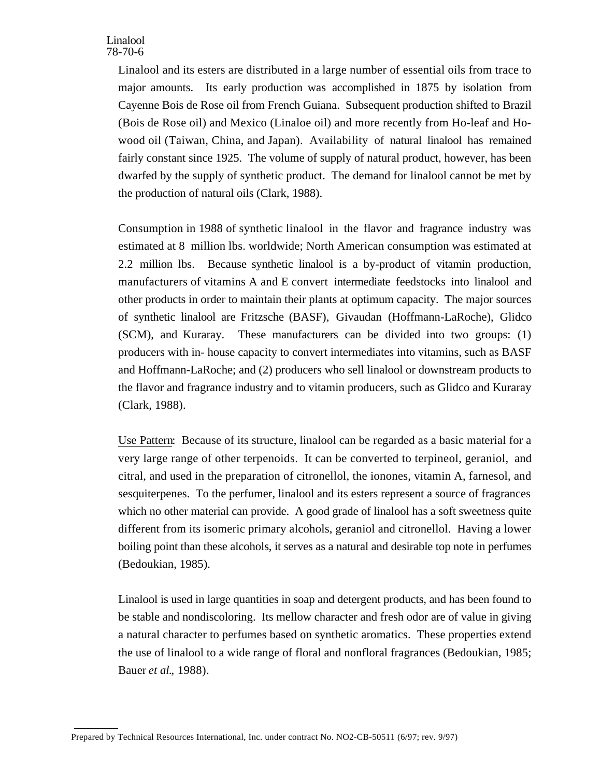Linalool and its esters are distributed in a large number of essential oils from trace to major amounts. Its early production was accomplished in 1875 by isolation from Cayenne Bois de Rose oil from French Guiana. Subsequent production shifted to Brazil (Bois de Rose oil) and Mexico (Linaloe oil) and more recently from Ho-leaf and Howood oil (Taiwan, China, and Japan). Availability of natural linalool has remained fairly constant since 1925. The volume of supply of natural product, however, has been dwarfed by the supply of synthetic product. The demand for linalool cannot be met by the production of natural oils (Clark, 1988).

Consumption in 1988 of synthetic linalool in the flavor and fragrance industry was estimated at 8 million lbs. worldwide; North American consumption was estimated at 2.2 million lbs. Because synthetic linalool is a by-product of vitamin production, manufacturers of vitamins A and E convert intermediate feedstocks into linalool and other products in order to maintain their plants at optimum capacity. The major sources of synthetic linalool are Fritzsche (BASF), Givaudan (Hoffmann-LaRoche), Glidco (SCM), and Kuraray. These manufacturers can be divided into two groups: (1) producers with in- house capacity to convert intermediates into vitamins, such as BASF and Hoffmann-LaRoche; and (2) producers who sell linalool or downstream products to the flavor and fragrance industry and to vitamin producers, such as Glidco and Kuraray (Clark, 1988).

Use Pattern: Because of its structure, linalool can be regarded as a basic material for a very large range of other terpenoids. It can be converted to terpineol, geraniol, and citral, and used in the preparation of citronellol, the ionones, vitamin A, farnesol, and sesquiterpenes. To the perfumer, linalool and its esters represent a source of fragrances which no other material can provide. A good grade of linalool has a soft sweetness quite different from its isomeric primary alcohols, geraniol and citronellol. Having a lower boiling point than these alcohols, it serves as a natural and desirable top note in perfumes (Bedoukian, 1985).

Linalool is used in large quantities in soap and detergent products, and has been found to be stable and nondiscoloring. Its mellow character and fresh odor are of value in giving a natural character to perfumes based on synthetic aromatics. These properties extend the use of linalool to a wide range of floral and nonfloral fragrances (Bedoukian, 1985; Bauer *et al.*, 1988).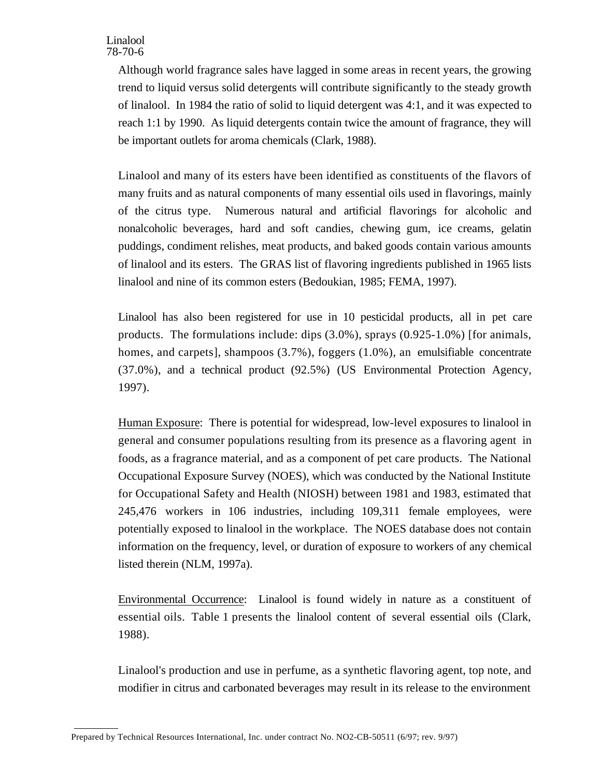Although world fragrance sales have lagged in some areas in recent years, the growing trend to liquid versus solid detergents will contribute significantly to the steady growth of linalool. In 1984 the ratio of solid to liquid detergent was 4:1, and it was expected to reach 1:1 by 1990. As liquid detergents contain twice the amount of fragrance, they will be important outlets for aroma chemicals (Clark, 1988).

Linalool and many of its esters have been identified as constituents of the flavors of many fruits and as natural components of many essential oils used in flavorings, mainly of the citrus type. Numerous natural and artificial flavorings for alcoholic and nonalcoholic beverages, hard and soft candies, chewing gum, ice creams, gelatin puddings, condiment relishes, meat products, and baked goods contain various amounts of linalool and its esters. The GRAS list of flavoring ingredients published in 1965 lists linalool and nine of its common esters (Bedoukian, 1985; FEMA, 1997).

Linalool has also been registered for use in 10 pesticidal products, all in pet care products. The formulations include: dips (3.0%), sprays (0.925-1.0%) [for animals, homes, and carpets], shampoos (3.7%), foggers (1.0%), an emulsifiable concentrate (37.0%), and a technical product (92.5%) (US Environmental Protection Agency, 1997).

Human Exposure: There is potential for widespread, low-level exposures to linalool in general and consumer populations resulting from its presence as a flavoring agent in foods, as a fragrance material, and as a component of pet care products. The National Occupational Exposure Survey (NOES), which was conducted by the National Institute for Occupational Safety and Health (NIOSH) between 1981 and 1983, estimated that 245,476 workers in 106 industries, including 109,311 female employees, were potentially exposed to linalool in the workplace. The NOES database does not contain information on the frequency, level, or duration of exposure to workers of any chemical listed therein (NLM, 1997a).

 Environmental Occurrence: Linalool is found widely in nature as a constituent of essential oils. Table 1 presents the linalool content of several essential oils (Clark, 1988).

Linalool's production and use in perfume, as a synthetic flavoring agent, top note, and modifier in citrus and carbonated beverages may result in its release to the environment

Prepared by Technical Resources International, Inc. under contract No. NO2-CB-50511 (6/97; rev. 9/97)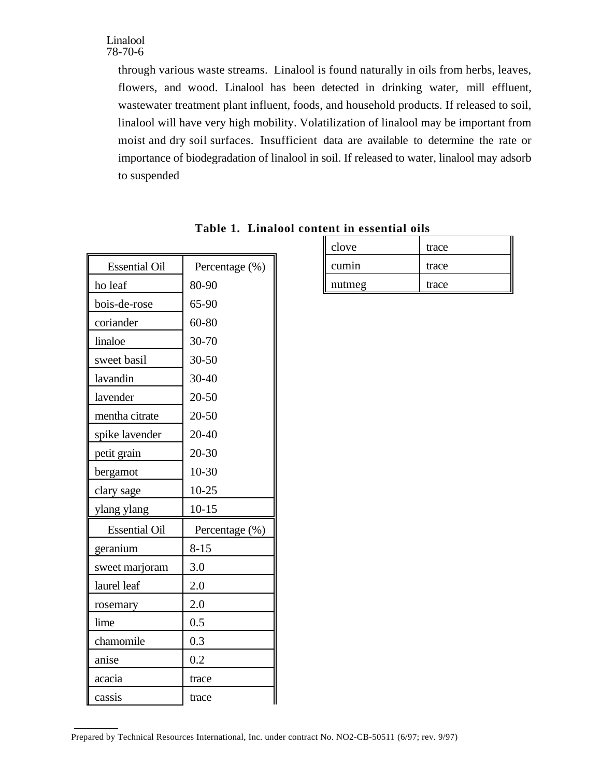through various waste streams. Linalool is found naturally in oils from herbs, leaves, flowers, and wood. Linalool has been detected in drinking water, mill effluent, wastewater treatment plant influent, foods, and household products. If released to soil, linalool will have very high mobility. Volatilization of linalool may be important from moist and dry soil surfaces. Insufficient data are available to determine the rate or importance of biodegradation of linalool in soil. If released to water, linalool may adsorb to suspended

| <b>Essential Oil</b> | Percentage (%) |
|----------------------|----------------|
| ho leaf              | 80-90          |
| bois-de-rose         | 65-90          |
| coriander            | 60-80          |
| linaloe              | 30-70          |
| sweet basil          | $30 - 50$      |
| lavandin             | 30-40          |
| lavender             | 20-50          |
| mentha citrate       | 20-50          |
| spike lavender       | 20-40          |
| petit grain          | $20 - 30$      |
| bergamot             | $10 - 30$      |
|                      |                |
| clary sage           | $10 - 25$      |
| ylang ylang          | $10 - 15$      |
| <b>Essential Oil</b> | Percentage (%) |
| geranium             | $8 - 15$       |
| sweet marjoram       | 3.0            |
| laurel leaf          | 2.0            |
| rosemary             | 2.0            |
| lime                 | 0.5            |
| chamomile            | 0.3            |
| anise                | 0.2            |
| acacia               | trace          |

| Table 1. Linalool content in essential oils |  |
|---------------------------------------------|--|
|---------------------------------------------|--|

| clove  | trace |
|--------|-------|
| cumin  | trace |
| nutmeg | trace |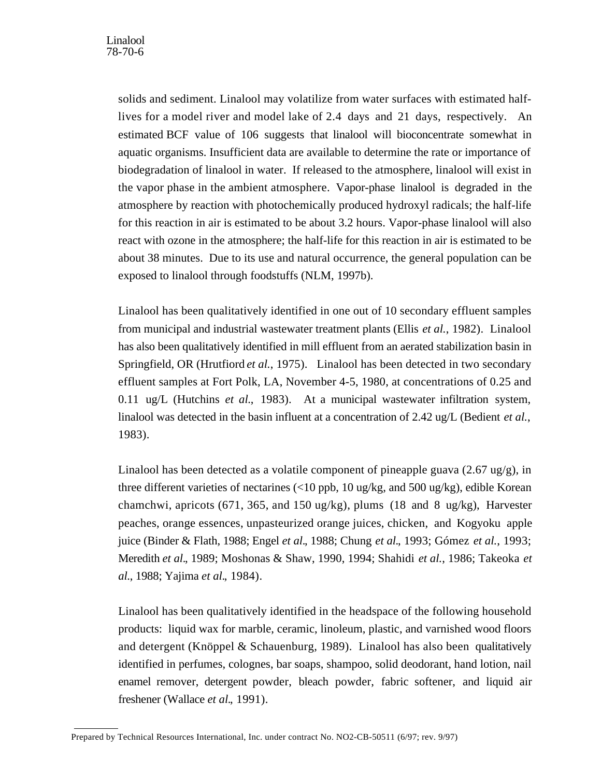solids and sediment. Linalool may volatilize from water surfaces with estimated halflives for a model river and model lake of 2.4 days and 21 days, respectively. An estimated BCF value of 106 suggests that linalool will bioconcentrate somewhat in aquatic organisms. Insufficient data are available to determine the rate or importance of biodegradation of linalool in water. If released to the atmosphere, linalool will exist in the vapor phase in the ambient atmosphere. Vapor-phase linalool is degraded in the atmosphere by reaction with photochemically produced hydroxyl radicals; the half-life for this reaction in air is estimated to be about 3.2 hours. Vapor-phase linalool will also react with ozone in the atmosphere; the half-life for this reaction in air is estimated to be about 38 minutes. Due to its use and natural occurrence, the general population can be exposed to linalool through foodstuffs (NLM, 1997b).

Linalool has been qualitatively identified in one out of 10 secondary effluent samples from municipal and industrial wastewater treatment plants (Ellis *et al.*, 1982). Linalool has also been qualitatively identified in mill effluent from an aerated stabilization basin in Springfield, OR (Hrutfiord *et al.*, 1975). Linalool has been detected in two secondary effluent samples at Fort Polk, LA, November 4-5, 1980, at concentrations of 0.25 and 0.11 ug/L (Hutchins *et al.*, 1983). At a municipal wastewater infiltration system, linalool was detected in the basin influent at a concentration of 2.42 ug/L (Bedient *et al.*, 1983).

Linalool has been detected as a volatile component of pineapple guava  $(2.67 \text{ ug/g})$ , in three different varieties of nectarines (<10 ppb, 10 ug/kg, and 500 ug/kg), edible Korean chamchwi, apricots (671, 365, and 150 ug/kg), plums (18 and 8 ug/kg), Harvester peaches, orange essences, unpasteurized orange juices, chicken, and Kogyoku apple juice (Binder & Flath, 1988; Engel *et al.*, 1988; Chung *et al.*, 1993; Gómez *et al.*, 1993; Meredith *et al.*, 1989; Moshonas & Shaw, 1990, 1994; Shahidi *et al.*, 1986; Takeoka *et al.*, 1988; Yajima *et al.*, 1984).

Linalool has been qualitatively identified in the headspace of the following household products: liquid wax for marble, ceramic, linoleum, plastic, and varnished wood floors and detergent (Knöppel & Schauenburg, 1989). Linalool has also been qualitatively identified in perfumes, colognes, bar soaps, shampoo, solid deodorant, hand lotion, nail enamel remover, detergent powder, bleach powder, fabric softener, and liquid air freshener (Wallace *et al.*, 1991).

Prepared by Technical Resources International, Inc. under contract No. NO2-CB-50511 (6/97; rev. 9/97)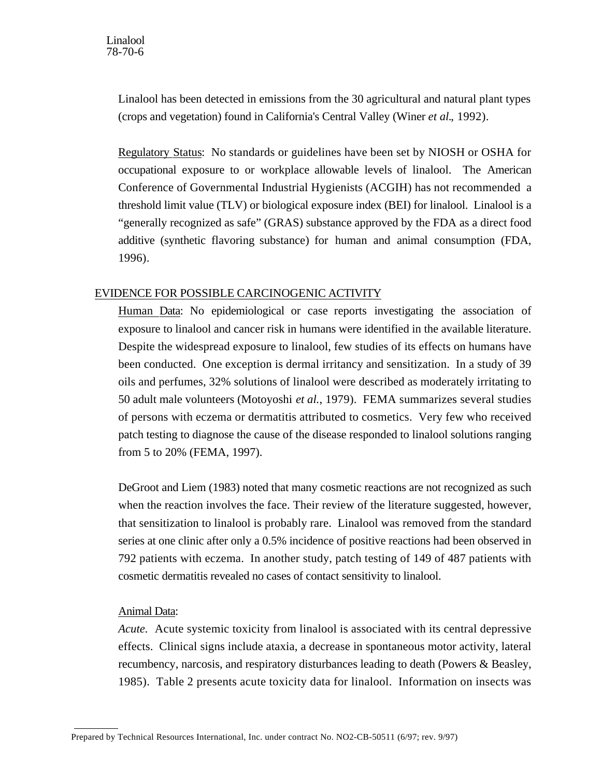Linalool has been detected in emissions from the 30 agricultural and natural plant types (crops and vegetation) found in California's Central Valley (Winer *et al.*, 1992).

Regulatory Status: No standards or guidelines have been set by NIOSH or OSHA for occupational exposure to or workplace allowable levels of linalool. The American Conference of Governmental Industrial Hygienists (ACGIH) has not recommended a threshold limit value (TLV) or biological exposure index (BEI) for linalool. Linalool is a "generally recognized as safe" (GRAS) substance approved by the FDA as a direct food additive (synthetic flavoring substance) for human and animal consumption (FDA, 1996).

# EVIDENCE FOR POSSIBLE CARCINOGENIC ACTIVITY

Human Data: No epidemiological or case reports investigating the association of exposure to linalool and cancer risk in humans were identified in the available literature. Despite the widespread exposure to linalool, few studies of its effects on humans have been conducted. One exception is dermal irritancy and sensitization. In a study of 39 oils and perfumes, 32% solutions of linalool were described as moderately irritating to 50 adult male volunteers (Motoyoshi *et al.*, 1979). FEMA summarizes several studies of persons with eczema or dermatitis attributed to cosmetics. Very few who received patch testing to diagnose the cause of the disease responded to linalool solutions ranging from 5 to 20% (FEMA, 1997).

DeGroot and Liem (1983) noted that many cosmetic reactions are not recognized as such when the reaction involves the face. Their review of the literature suggested, however, that sensitization to linalool is probably rare. Linalool was removed from the standard series at one clinic after only a 0.5% incidence of positive reactions had been observed in 792 patients with eczema. In another study, patch testing of 149 of 487 patients with cosmetic dermatitis revealed no cases of contact sensitivity to linalool.

# Animal Data:

 $\overline{a}$ 

*Acute.* Acute systemic toxicity from linalool is associated with its central depressive effects. Clinical signs include ataxia, a decrease in spontaneous motor activity, lateral recumbency, narcosis, and respiratory disturbances leading to death (Powers & Beasley, 1985). Table 2 presents acute toxicity data for linalool. Information on insects was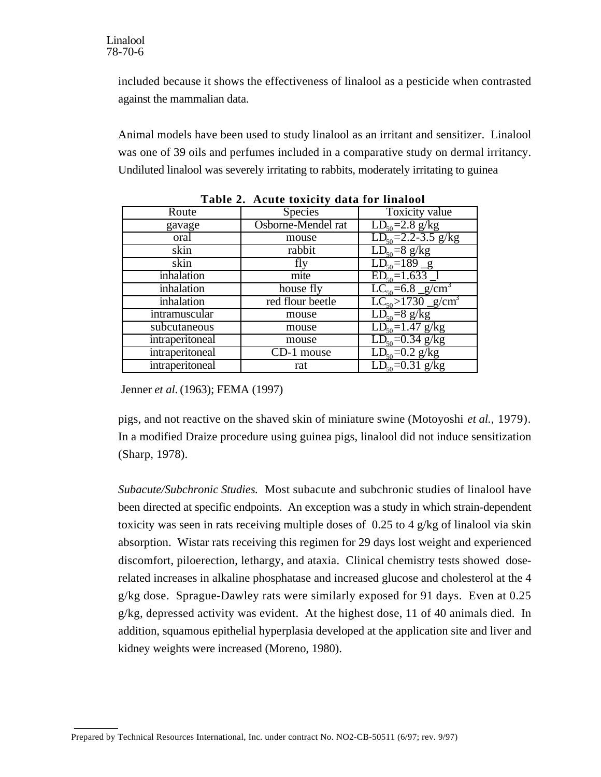included because it shows the effectiveness of linalool as a pesticide when contrasted against the mammalian data.

Animal models have been used to study linalool as an irritant and sensitizer. Linalool was one of 39 oils and perfumes included in a comparative study on dermal irritancy. Undiluted linalool was severely irritating to rabbits, moderately irritating to guinea

| Route           | <b>Species</b>     | <b>Toxicity value</b>              |
|-----------------|--------------------|------------------------------------|
| gavage          | Osborne-Mendel rat | $LD_{50} = 2.8$ g/kg               |
| oral            | mouse              | $LD_{50} = 2.2 - 3.5$ g/kg         |
| skin            | rabbit             | $LD_{50} = 8$ g/kg                 |
| skin            | fly                | $\overline{LD_{50}} = 189$ g       |
| inhalation      | mite               | $ED50=1.633$ <sup>1</sup>          |
| inhalation      | house fly          | $LC_{50} = 6.8 \text{ g/cm}^3$     |
| inhalation      | red flour beetle   | $LC_{50} > 1730$ g/cm <sup>3</sup> |
| intramuscular   | mouse              | $LD_{50} = 8$ g/kg                 |
| subcutaneous    | mouse              | $LD_{50} = 1.47$ g/kg              |
| intraperitoneal | mouse              | $LD_{50} = 0.34$ g/kg              |
| intraperitoneal | CD-1 mouse         | $LD_{50} = 0.2$ g/kg               |
| intraperitoneal | rat                | $\overline{LD_{50}} = 0.31$ g/kg   |

**Table 2. Acute toxicity data for linalool** 

Jenner *et al.* (1963); FEMA (1997)

pigs, and not reactive on the shaved skin of miniature swine (Motoyoshi *et al.*, 1979). In a modified Draize procedure using guinea pigs, linalool did not induce sensitization (Sharp, 1978).

*Subacute/Subchronic Studies.* Most subacute and subchronic studies of linalool have been directed at specific endpoints. An exception was a study in which strain-dependent toxicity was seen in rats receiving multiple doses of  $0.25$  to 4 g/kg of linalool via skin absorption. Wistar rats receiving this regimen for 29 days lost weight and experienced discomfort, piloerection, lethargy, and ataxia. Clinical chemistry tests showed doserelated increases in alkaline phosphatase and increased glucose and cholesterol at the 4 g/kg dose. Sprague-Dawley rats were similarly exposed for 91 days. Even at 0.25 g/kg, depressed activity was evident. At the highest dose, 11 of 40 animals died. In addition, squamous epithelial hyperplasia developed at the application site and liver and kidney weights were increased (Moreno, 1980).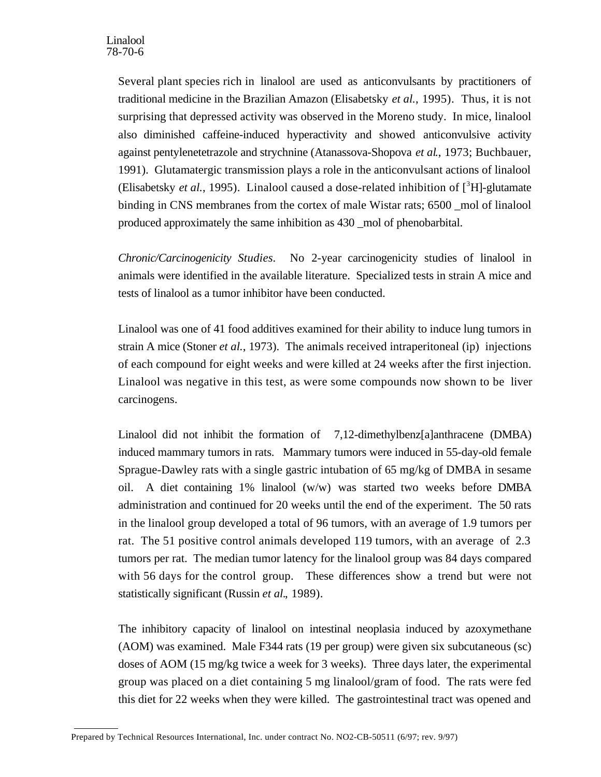Several plant species rich in linalool are used as anticonvulsants by practitioners of traditional medicine in the Brazilian Amazon (Elisabetsky *et al.*, 1995). Thus, it is not surprising that depressed activity was observed in the Moreno study. In mice, linalool also diminished caffeine-induced hyperactivity and showed anticonvulsive activity against pentylenetetrazole and strychnine (Atanassova-Shopova *et al*., 1973; Buchbauer, 1991). Glutamatergic transmission plays a role in the anticonvulsant actions of linalool (Elisabetsky *et al.*, 1995). Linalool caused a dose-related inhibition of  $[^{3}H]$ -glutamate binding in CNS membranes from the cortex of male Wistar rats; 6500 \_mol of linalool produced approximately the same inhibition as 430 mol of phenobarbital.

Chronic/Carcinogenicity Studies. No 2-year carcinogenicity studies of linalool in animals were identified in the available literature. Specialized tests in strain A mice and tests of linalool as a tumor inhibitor have been conducted.

Linalool was one of 41 food additives examined for their ability to induce lung tumors in strain A mice (Stoner *et al.*, 1973). The animals received intraperitoneal (ip) injections of each compound for eight weeks and were killed at 24 weeks after the first injection. Linalool was negative in this test, as were some compounds now shown to be liver carcinogens.

Linalool did not inhibit the formation of 7,12-dimethylbenz[a]anthracene (DMBA) induced mammary tumors in rats. Mammary tumors were induced in 55-day-old female Sprague-Dawley rats with a single gastric intubation of 65 mg/kg of DMBA in sesame oil. A diet containing 1% linalool (w/w) was started two weeks before DMBA administration and continued for 20 weeks until the end of the experiment. The 50 rats in the linalool group developed a total of 96 tumors, with an average of 1.9 tumors per rat. The 51 positive control animals developed 119 tumors, with an average of 2.3 tumors per rat. The median tumor latency for the linalool group was 84 days compared with 56 days for the control group. These differences show a trend but were not statistically significant (Russin *et al.*, 1989).

The inhibitory capacity of linalool on intestinal neoplasia induced by azoxymethane (AOM) was examined. Male F344 rats (19 per group) were given six subcutaneous (sc) doses of AOM (15 mg/kg twice a week for 3 weeks). Three days later, the experimental group was placed on a diet containing 5 mg linalool/gram of food. The rats were fed this diet for 22 weeks when they were killed. The gastrointestinal tract was opened and

Prepared by Technical Resources International, Inc. under contract No. NO2-CB-50511 (6/97; rev. 9/97)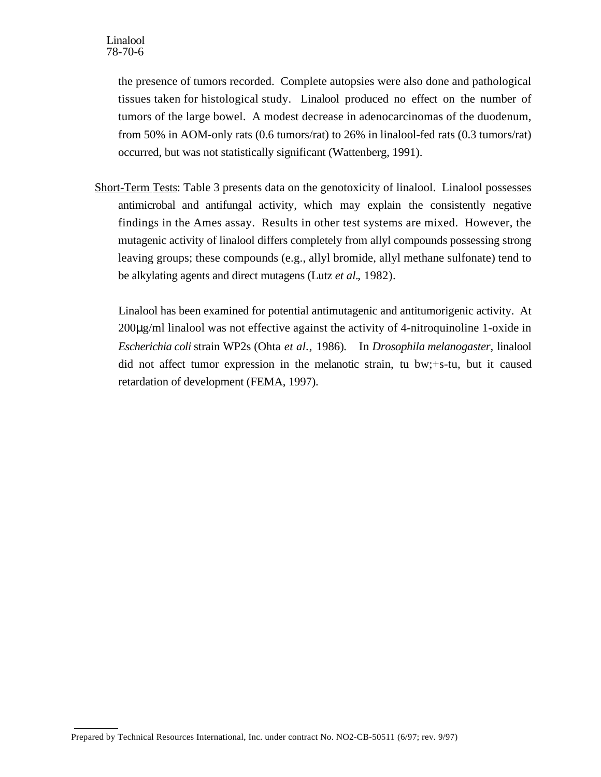the presence of tumors recorded. Complete autopsies were also done and pathological tissues taken for histological study. Linalool produced no effect on the number of tumors of the large bowel. A modest decrease in adenocarcinomas of the duodenum, from 50% in AOM-only rats (0.6 tumors/rat) to 26% in linalool-fed rats (0.3 tumors/rat) occurred, but was not statistically significant (Wattenberg, 1991).

Short-Term Tests: Table 3 presents data on the genotoxicity of linalool. Linalool possesses antimicrobal and antifungal activity, which may explain the consistently negative findings in the Ames assay. Results in other test systems are mixed. However, the mutagenic activity of linalool differs completely from allyl compounds possessing strong leaving groups; these compounds (e.g., allyl bromide, allyl methane sulfonate) tend to be alkylating agents and direct mutagens (Lutz *et al.*, 1982).

Linalool has been examined for potential antimutagenic and antitumorigenic activity. At 200µg/ml linalool was not effective against the activity of 4-nitroquinoline 1-oxide in *Escherichia coli* strain WP2s (Ohta *et al.,* 1986)*.* In *Drosophila melanogaster,* linalool did not affect tumor expression in the melanotic strain, tu bw;+s-tu, but it caused retardation of development (FEMA, 1997).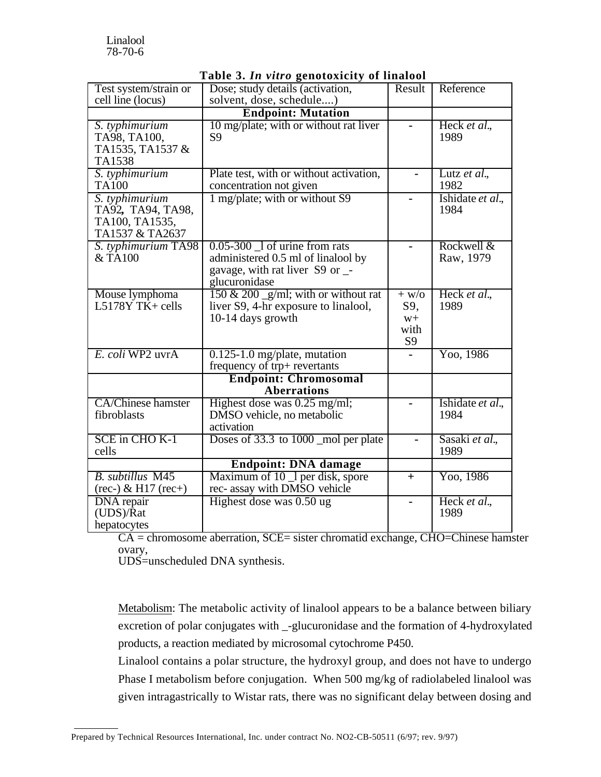|                                                                          | . <del>.</del>                                                                                                              |                                      |                          |
|--------------------------------------------------------------------------|-----------------------------------------------------------------------------------------------------------------------------|--------------------------------------|--------------------------|
| Test system/strain or                                                    | Dose; study details (activation,                                                                                            | Result                               | Reference                |
| cell line (locus)                                                        | solvent, dose, schedule)                                                                                                    |                                      |                          |
|                                                                          | <b>Endpoint: Mutation</b>                                                                                                   |                                      |                          |
| S. typhimurium<br>TA98, TA100,<br>TA1535, TA1537 &<br>TA1538             | 10 mg/plate; with or without rat liver<br>S <sub>9</sub>                                                                    |                                      | Heck et al.,<br>1989     |
| S. typhimurium<br><b>TA100</b>                                           | Plate test, with or without activation,<br>concentration not given                                                          |                                      | Lutz et al.,<br>1982     |
| S. typhimurium<br>TA92, TA94, TA98,<br>TA100, TA1535,<br>TA1537 & TA2637 | 1 mg/plate; with or without S9                                                                                              |                                      | Ishidate et al.,<br>1984 |
| S. typhimurium TA98<br>& TA100                                           | $0.05 - 300$ 1 of urine from rats<br>administered 0.5 ml of linalool by<br>gavage, with rat liver S9 or _-<br>glucuronidase |                                      | Rockwell &<br>Raw, 1979  |
| Mouse lymphoma<br>L5178Y T $\bar{K}$ + cells                             | 150 & 200 $\_\text{g/ml}$ ; with or without rat<br>liver S9, 4-hr exposure to linalool,<br>10-14 days growth                | $+$ W/O<br>S9,<br>$W+$<br>with<br>S9 | Heck et al.,<br>1989     |
| E. coli WP2 uvrA                                                         | $0.125$ -1.0 mg/plate, mutation<br>frequency of trp+ revertants                                                             |                                      | Yoo, 1986                |
|                                                                          | <b>Endpoint: Chromosomal</b><br><b>Aberrations</b>                                                                          |                                      |                          |
| <b>CA/Chinese hamster</b><br>fibroblasts                                 | Highest dose was 0.25 mg/ml;<br>DMSO vehicle, no metabolic<br>activation                                                    |                                      | Ishidate et al.,<br>1984 |
| SCE in CHO K-1<br>cells                                                  | Doses of 33.3 to 1000 _mol per plate                                                                                        |                                      | Sasaki et al.,<br>1989   |
|                                                                          | <b>Endpoint: DNA damage</b>                                                                                                 |                                      |                          |
| B. subtillus M45<br>$(rec-) \& H17 (rec+)$                               | Maximum of 10 1 per disk, spore<br>rec- assay with DMSO vehicle                                                             | $+$                                  | Yoo, 1986                |
| <b>DNA</b> repair<br>(UDS)/Rat<br>hepatocytes                            | Highest dose was 0.50 ug                                                                                                    |                                      | Heck et al.,<br>1989     |

# **Table 3.** *In vitro* **genotoxicity of linalool**

CA = chromosome aberration, SCE= sister chromatid exchange, CHO=Chinese hamster ovary,

UDS=unscheduled DNA synthesis.

 $\overline{a}$ 

Metabolism: The metabolic activity of linalool appears to be a balance between biliary excretion of polar conjugates with \_-glucuronidase and the formation of 4-hydroxylated products, a reaction mediated by microsomal cytochrome P450.

Linalool contains a polar structure, the hydroxyl group, and does not have to undergo Phase I metabolism before conjugation. When 500 mg/kg of radiolabeled linalool was given intragastrically to Wistar rats, there was no significant delay between dosing and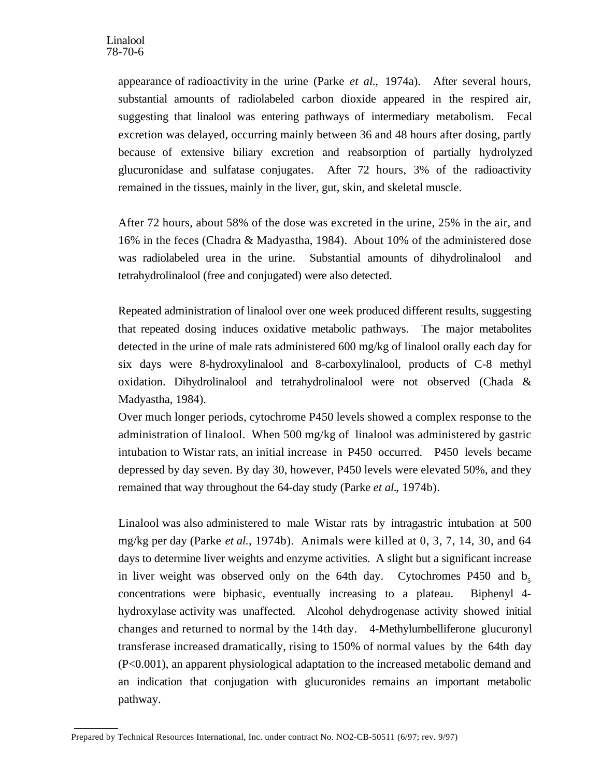appearance of radioactivity in the urine (Parke *et al.*, 1974a). After several hours, substantial amounts of radiolabeled carbon dioxide appeared in the respired air, suggesting that linalool was entering pathways of intermediary metabolism. Fecal excretion was delayed, occurring mainly between 36 and 48 hours after dosing, partly because of extensive biliary excretion and reabsorption of partially hydrolyzed glucuronidase and sulfatase conjugates. After 72 hours, 3% of the radioactivity remained in the tissues, mainly in the liver, gut, skin, and skeletal muscle.

After 72 hours, about 58% of the dose was excreted in the urine, 25% in the air, and 16% in the feces (Chadra & Madyastha, 1984). About 10% of the administered dose was radiolabeled urea in the urine. Substantial amounts of dihydrolinalool and tetrahydrolinalool (free and conjugated) were also detected.

Repeated administration of linalool over one week produced different results, suggesting that repeated dosing induces oxidative metabolic pathways. The major metabolites detected in the urine of male rats administered 600 mg/kg of linalool orally each day for six days were 8-hydroxylinalool and 8-carboxylinalool, products of C-8 methyl oxidation. Dihydrolinalool and tetrahydrolinalool were not observed (Chada & Madyastha, 1984).

Over much longer periods, cytochrome P450 levels showed a complex response to the administration of linalool. When 500 mg/kg of linalool was administered by gastric intubation to Wistar rats, an initial increase in P450 occurred. P450 levels became depressed by day seven. By day 30, however, P450 levels were elevated 50%, and they remained that way throughout the 64-day study (Parke *et al.*, 1974b).

Linalool was also administered to male Wistar rats by intragastric intubation at 500 mg/kg per day (Parke *et al.*, 1974b). Animals were killed at 0, 3, 7, 14, 30, and 64 days to determine liver weights and enzyme activities. A slight but a significant increase in liver weight was observed only on the 64th day. Cytochromes P450 and  $b_5$ concentrations were biphasic, eventually increasing to a plateau. Biphenyl 4 hydroxylase activity was unaffected. Alcohol dehydrogenase activity showed initial changes and returned to normal by the 14th day. 4-Methylumbelliferone glucuronyl transferase increased dramatically, rising to 150% of normal values by the 64th day (P<0.001), an apparent physiological adaptation to the increased metabolic demand and an indication that conjugation with glucuronides remains an important metabolic pathway.

Prepared by Technical Resources International, Inc. under contract No. NO2-CB-50511 (6/97; rev. 9/97)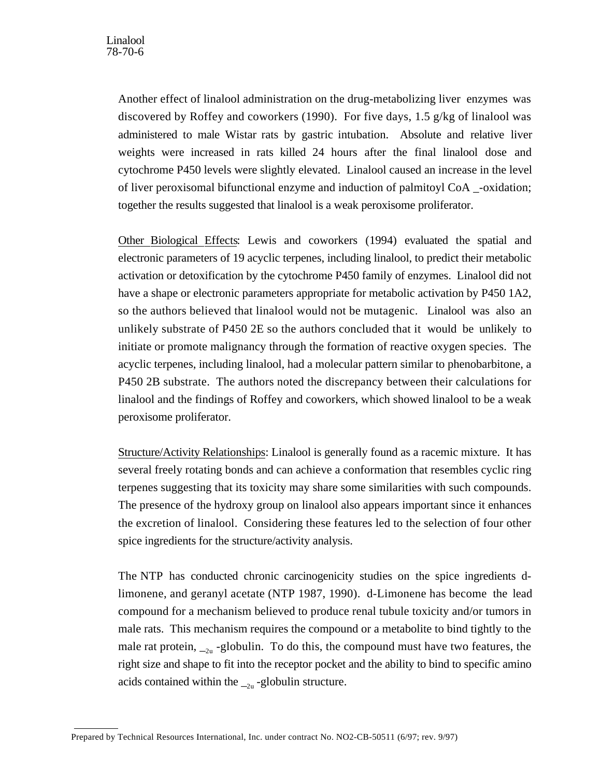Another effect of linalool administration on the drug-metabolizing liver enzymes was discovered by Roffey and coworkers (1990). For five days, 1.5 g/kg of linalool was administered to male Wistar rats by gastric intubation. Absolute and relative liver weights were increased in rats killed 24 hours after the final linalool dose and cytochrome P450 levels were slightly elevated. Linalool caused an increase in the level of liver peroxisomal bifunctional enzyme and induction of palmitoyl CoA \_-oxidation; together the results suggested that linalool is a weak peroxisome proliferator.

Other Biological Effects: Lewis and coworkers (1994) evaluated the spatial and electronic parameters of 19 acyclic terpenes, including linalool, to predict their metabolic activation or detoxification by the cytochrome P450 family of enzymes. Linalool did not have a shape or electronic parameters appropriate for metabolic activation by P450 1A2, so the authors believed that linalool would not be mutagenic. Linalool was also an unlikely substrate of P450 2E so the authors concluded that it would be unlikely to initiate or promote malignancy through the formation of reactive oxygen species. The acyclic terpenes, including linalool, had a molecular pattern similar to phenobarbitone, a P450 2B substrate. The authors noted the discrepancy between their calculations for linalool and the findings of Roffey and coworkers, which showed linalool to be a weak peroxisome proliferator.

Structure/Activity Relationships: Linalool is generally found as a racemic mixture. It has several freely rotating bonds and can achieve a conformation that resembles cyclic ring terpenes suggesting that its toxicity may share some similarities with such compounds. The presence of the hydroxy group on linalool also appears important since it enhances the excretion of linalool. Considering these features led to the selection of four other spice ingredients for the structure/activity analysis.

The NTP has conducted chronic carcinogenicity studies on the spice ingredients dlimonene, and geranyl acetate (NTP 1987, 1990). d-Limonene has become the lead compound for a mechanism believed to produce renal tubule toxicity and/or tumors in male rats. This mechanism requires the compound or a metabolite to bind tightly to the male rat protein,  $\mathcal{L}_{2u}$  -globulin. To do this, the compound must have two features, the right size and shape to fit into the receptor pocket and the ability to bind to specific amino acids contained within the  $_{-2u}$ -globulin structure.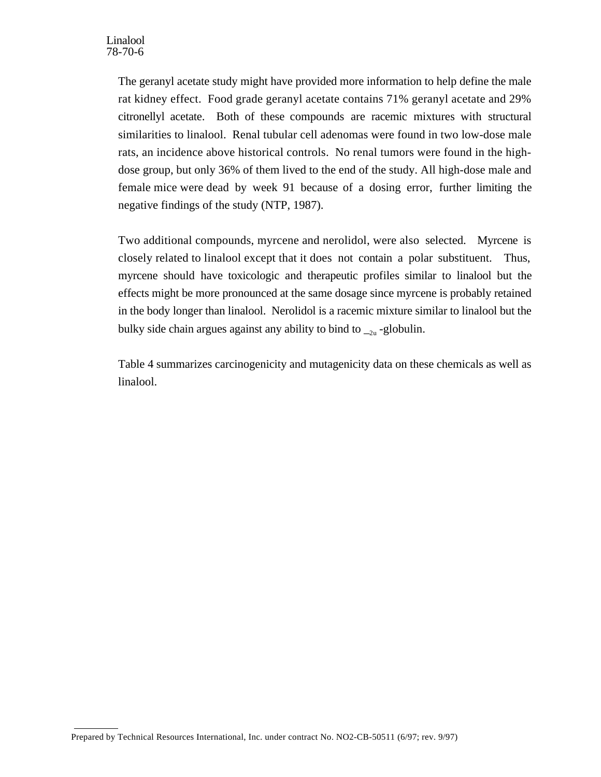The geranyl acetate study might have provided more information to help define the male rat kidney effect. Food grade geranyl acetate contains 71% geranyl acetate and 29% citronellyl acetate. Both of these compounds are racemic mixtures with structural similarities to linalool. Renal tubular cell adenomas were found in two low-dose male rats, an incidence above historical controls. No renal tumors were found in the highdose group, but only 36% of them lived to the end of the study. All high-dose male and female mice were dead by week 91 because of a dosing error, further limiting the negative findings of the study (NTP, 1987).

Two additional compounds, myrcene and nerolidol, were also selected. Myrcene is closely related to linalool except that it does not contain a polar substituent. Thus, myrcene should have toxicologic and therapeutic profiles similar to linalool but the effects might be more pronounced at the same dosage since myrcene is probably retained in the body longer than linalool. Nerolidol is a racemic mixture similar to linalool but the bulky side chain argues against any ability to bind to  $_{-2u}$ -globulin.

Table 4 summarizes carcinogenicity and mutagenicity data on these chemicals as well as linalool.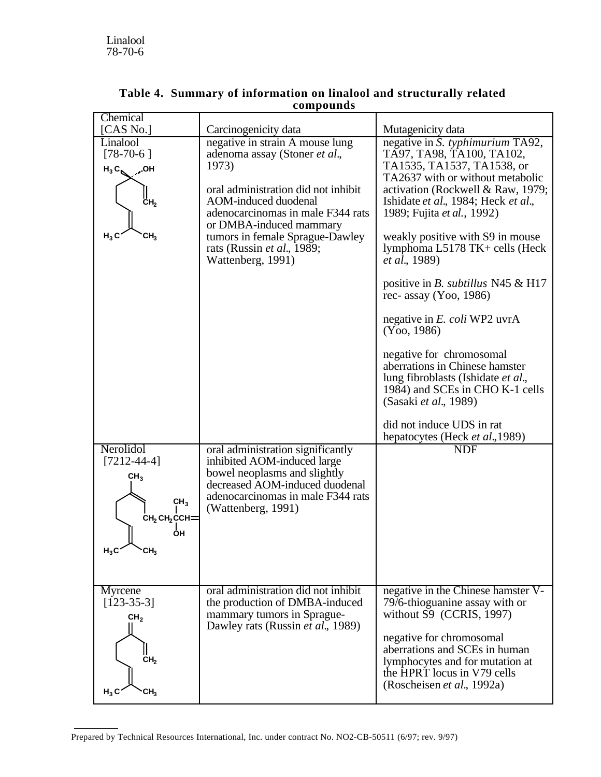|                                                                                                                                                  | .                                                                                                                                                                                                                                                                                              |                                                                                                                                                                                                                                                                                                                                                                                                                                                                                                                                                                                                                                                                                                     |
|--------------------------------------------------------------------------------------------------------------------------------------------------|------------------------------------------------------------------------------------------------------------------------------------------------------------------------------------------------------------------------------------------------------------------------------------------------|-----------------------------------------------------------------------------------------------------------------------------------------------------------------------------------------------------------------------------------------------------------------------------------------------------------------------------------------------------------------------------------------------------------------------------------------------------------------------------------------------------------------------------------------------------------------------------------------------------------------------------------------------------------------------------------------------------|
| Chemical<br>[ $CAS$ No.]                                                                                                                         | Carcinogenicity data                                                                                                                                                                                                                                                                           | Mutagenicity data                                                                                                                                                                                                                                                                                                                                                                                                                                                                                                                                                                                                                                                                                   |
| LinalooI<br>$[78-70-6]$<br>$H_3C_8$ OH<br>CH <sub>2</sub><br>$H_3C$<br>CH <sub>3</sub>                                                           | negative in strain A mouse lung<br>adenoma assay (Stoner et al.,<br>1973)<br>oral administration did not inhibit<br>AOM-induced duodenal<br>adenocarcinomas in male F344 rats<br>or DMBA-induced mammary<br>tumors in female Sprague-Dawley<br>rats (Russin et al., 1989;<br>Wattenberg, 1991) | negative in S. typhimurium TA92,<br>TÃ97, TA98, TA100, TA102,<br>TA1535, TA1537, TA1538, or<br>TA2637 with or without metabolic<br>activation (Rockwell & Raw, 1979;<br>Ishidate et al., 1984; Heck et al.,<br>1989; Fujita et al., 1992)<br>weakly positive with S9 in mouse<br>lymphoma L5178 TK+ cells (Heck<br><i>et al.</i> , 1989)<br>positive in <i>B. subtillus</i> N45 $\&$ H17<br>rec- assay $(Yoo, 1986)$<br>negative in E. coli WP2 uvrA<br>(Yoo, 1986)<br>negative for chromosomal<br>aberrations in Chinese hamster<br>lung fibroblasts (Ishidate et al.,<br>1984) and SCEs in CHO K-1 cells<br>(Sasaki et al., 1989)<br>did not induce UDS in rat<br>hepatocytes (Heck et al., 1989) |
| Nerolidol<br>$[7212 - 44 - 4]$<br>CH <sub>3</sub><br>CH <sub>3</sub><br>CH <sub>2</sub> CH <sub>2</sub> CCH=<br>ОН<br>$H_3C$<br>`СH <sub>3</sub> | oral administration significantly<br>inhibited AOM-induced large<br>bowel neoplasms and slightly<br>decreased AOM-induced duodenal<br>adenocarcinomas in male F344 rats<br>(Wattenberg, 1991)                                                                                                  | <b>NDF</b>                                                                                                                                                                                                                                                                                                                                                                                                                                                                                                                                                                                                                                                                                          |
| Myrcene<br>$[123-35-3]$<br>CH <sub>2</sub><br>CH <sub>2</sub><br>$H_3C$<br>CH <sub>3</sub>                                                       | oral administration did not inhibit<br>the production of DMBA-induced<br>mammary tumors in Sprague-<br>Dawley rats (Russin et al., 1989)                                                                                                                                                       | negative in the Chinese hamster V-<br>79/6-thioguanine assay with or<br>without S9 (CCRIS, 1997)<br>negative for chromosomal<br>aberrations and SCEs in human<br>lymphocytes and for mutation at<br>the HPRT locus in V79 cells<br>(Roscheisen et al., 1992a)                                                                                                                                                                                                                                                                                                                                                                                                                                       |

# **Table 4. Summary of information on linalool and structurally related compounds**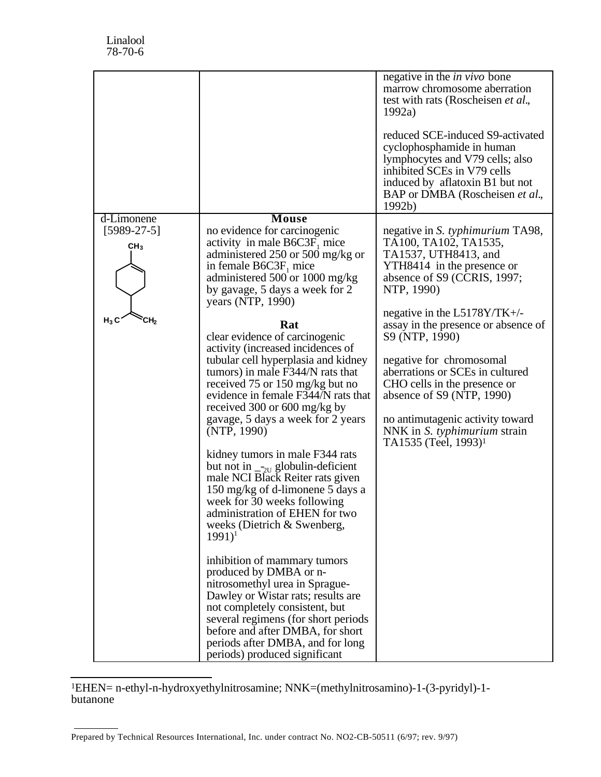|                                                                 |                                                                                                                                                                                                                                                                                                                                                                                                                                                                                                                                                                                                                                                                                                                                                                                                                                                                                                                                                                                                                                                                                                                                                       | negative in the <i>in vivo</i> bone<br>marrow chromosome aberration<br>test with rats (Roscheisen et al.,<br>1992a)<br>reduced SCE-induced S9-activated<br>cyclophosphamide in human<br>lymphocytes and V79 cells; also<br>inhibited SCEs in V79 cells<br>induced by aflatoxin B1 but not<br>BAP or DMBA (Roscheisen et al.,<br>1992b)                                                                                                                                                                            |
|-----------------------------------------------------------------|-------------------------------------------------------------------------------------------------------------------------------------------------------------------------------------------------------------------------------------------------------------------------------------------------------------------------------------------------------------------------------------------------------------------------------------------------------------------------------------------------------------------------------------------------------------------------------------------------------------------------------------------------------------------------------------------------------------------------------------------------------------------------------------------------------------------------------------------------------------------------------------------------------------------------------------------------------------------------------------------------------------------------------------------------------------------------------------------------------------------------------------------------------|-------------------------------------------------------------------------------------------------------------------------------------------------------------------------------------------------------------------------------------------------------------------------------------------------------------------------------------------------------------------------------------------------------------------------------------------------------------------------------------------------------------------|
| d-Limonene<br>$[5989-27-5]$<br>CH <sub>3</sub><br>$H_3C$<br>СH, | Mouse<br>no evidence for carcinogenic<br>activity in male $B6C3F_1$ mice<br>administered 250 or 500 mg/kg or<br>in female $B6C3F_1$ mice<br>administered 500 or 1000 mg/kg<br>by gavage, 5 days a week for 2<br>years (NTP, 1990)<br>Rat<br>clear evidence of carcinogenic<br>activity (increased incidences of<br>tubular cell hyperplasia and kidney<br>tumors) in male F344/N rats that<br>received 75 or 150 mg/kg but no<br>evidence in female F344/N rats that<br>received 300 or 600 mg/kg by<br>gavage, 5 days a week for 2 years<br>(NTP, 1990)<br>kidney tumors in male F344 rats<br>but not in $_{\text{2U}}$ globulin-deficient<br>male NCI Black Reiter rats given<br>150 mg/kg of d-limonene 5 days a<br>week for 30 weeks following<br>administration of EHEN for two<br>weeks (Dietrich & Swenberg,<br>$(1991)^1$<br>inhibition of mammary tumors<br>produced by DMBA or n-<br>nitrosomethyl urea in Sprague-<br>Dawley or Wistar rats; results are<br>not completely consistent, but<br>several regimens (for short periods<br>before and after DMBA, for short<br>periods after DMBA, and for long<br>periods) produced significant | negative in <i>S. typhimurium</i> TA98,<br>TA100, TA102, TA1535,<br>TA1537, UTH8413, and<br>YTH8414 in the presence or<br>absence of S9 (CCRIS, 1997;<br>NTP, 1990)<br>negative in the $L5178Y/TK+\prime$ -<br>assay in the presence or absence of<br>S9 (NTP, 1990)<br>negative for chromosomal<br>aberrations or SCEs in cultured<br>CHO cells in the presence or<br>absence of $S9$ (NTP, 1990)<br>no antimutagenic activity toward<br>NNK in <i>S. typhimurium</i> strain<br>TA1535 (Teel, 1993) <sup>1</sup> |

l 1EHEN= n-ethyl-n-hydroxyethylnitrosamine; NNK=(methylnitrosamino)-1-(3-pyridyl)-1 butanone

Prepared by Technical Resources International, Inc. under contract No. NO2-CB-50511 (6/97; rev. 9/97)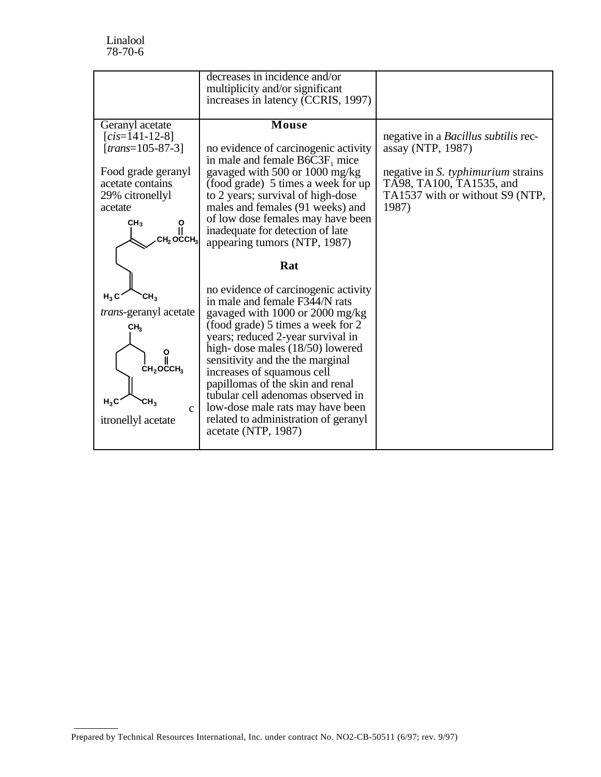|                               | decreases in incidence and/or        |                                             |
|-------------------------------|--------------------------------------|---------------------------------------------|
|                               | multiplicity and/or significant      |                                             |
|                               | increases in latency (CCRIS, 1997)   |                                             |
|                               |                                      |                                             |
| Geranyl acetate               | <b>Mouse</b>                         |                                             |
| $[cis=141-12-8]$              |                                      | negative in a <i>Bacillus subtilis</i> rec- |
| $[trans=105-87-3]$            | no evidence of carcinogenic activity | assay (NTP, 1987)                           |
|                               | in male and female $B6C3F_1$ mice    |                                             |
| Food grade geranyl            | gavaged with 500 or 1000 mg/kg       | negative in <i>S. typhimurium</i> strains   |
| acetate contains              | (food grade) 5 times a week for up   | TA98, TA100, TA1535, and                    |
| 29% citronellyl               | to 2 years; survival of high-dose    | TA1537 with or without S9 (NTP,             |
| acetate                       | males and females (91 weeks) and     | 1987)                                       |
|                               | of low dose females may have been    |                                             |
| CH <sub>3</sub><br>ဂို        | inadequate for detection of late     |                                             |
| СН, ОССН,                     |                                      |                                             |
|                               | appearing tumors (NTP, 1987)         |                                             |
|                               |                                      |                                             |
|                               |                                      |                                             |
|                               | Rat                                  |                                             |
|                               |                                      |                                             |
|                               | no evidence of carcinogenic activity |                                             |
| H, C<br>СΗ,                   | in male and female F344/N rats       |                                             |
| <i>trans</i> -geranyl acetate | gavaged with 1000 or 2000 mg/kg      |                                             |
|                               | (food grade) 5 times a week for 2    |                                             |
| CH <sub>3</sub>               |                                      |                                             |
|                               | years; reduced 2-year survival in    |                                             |
| ူ                             | high-dose males (18/50) lowered      |                                             |
| $CH2OCCCH3$                   | sensitivity and the the marginal     |                                             |
|                               | increases of squamous cell           |                                             |
|                               | papillomas of the skin and renal     |                                             |
| $H_3C$<br>CH <sup>3</sup>     | tubular cell adenomas observed in    |                                             |
| $\mathbf{c}$                  | low-dose male rats may have been     |                                             |
| itronellyl acetate            | related to administration of geranyl |                                             |
|                               | acetate (NTP, 1987)                  |                                             |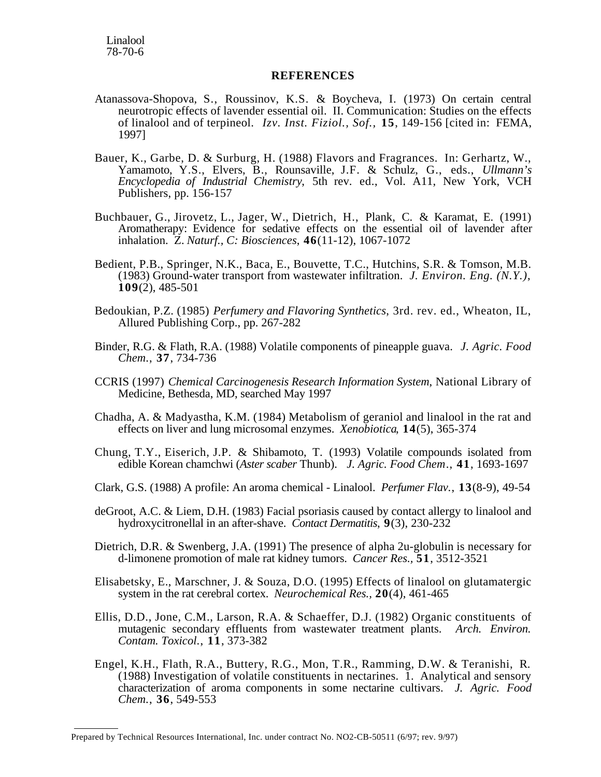## **REFERENCES**

- Atanassova-Shopova, S., Roussinov, K.S. & Boycheva, I. (1973) On certain central neurotropic effects of lavender essential oil. II. Communication: Studies on the effects of linalool and of terpineol. *Izv. Inst. Fiziol., Sof.,* **15**, 149-156 [cited in: FEMA, 1997]
- Bauer, K., Garbe, D. & Surburg, H. (1988) Flavors and Fragrances. In: Gerhartz, W., Yamamoto, Y.S., Elvers, B., Rounsaville, J.F. & Schulz, G., eds., *Ullmann's Encyclopedia of Industrial Chemistry*, 5th rev. ed., Vol. A11, New York, VCH Publishers, pp. 156-157
- Buchbauer, G., Jirovetz, L., Jager, W., Dietrich, H., Plank, C. & Karamat, E. (1991) Aromatherapy: Evidence for sedative effects on the essential oil of lavender after inhalation. Z. *Naturf., C: Biosciences*, **46**(11-12), 1067-1072
- Bedient, P.B., Springer, N.K., Baca, E., Bouvette, T.C., Hutchins, S.R. & Tomson, M.B. (1983) Ground-water transport from wastewater infiltration. *J. Environ. Eng. (N.Y.)*, **109**(2), 485-501
- Bedoukian, P.Z. (1985) *Perfumery and Flavoring Synthetics*, 3rd. rev. ed., Wheaton, IL, Allured Publishing Corp., pp. 267-282
- Binder, R.G. & Flath, R.A. (1988) Volatile components of pineapple guava. *J. Agric. Food Chem*., **37**, 734-736
- CCRIS (1997) *Chemical Carcinogenesis Research Information System*, National Library of Medicine, Bethesda, MD, searched May 1997
- Chadha, A. & Madyastha, K.M. (1984) Metabolism of geraniol and linalool in the rat and effects on liver and lung microsomal enzymes. *Xenobiotica*, **14**(5), 365-374
- Chung, T.Y., Eiserich, J.P. & Shibamoto, T. (1993) Volatile compounds isolated from edible Korean chamchwi (*Aster scaber* Thunb). *J. Agric. Food Chem*., **41**, 1693-1697
- Clark, G.S. (1988) A profile: An aroma chemical Linalool. *Perfumer Flav*., **13**(8-9), 49-54
- deGroot, A.C. & Liem, D.H. (1983) Facial psoriasis caused by contact allergy to linalool and hydroxycitronellal in an after-shave. *Contact Dermatitis*, **9**(3), 230-232
- Dietrich, D.R. & Swenberg, J.A. (1991) The presence of alpha 2u-globulin is necessary for d-limonene promotion of male rat kidney tumors. *Cancer Res.,* **51**, 3512-3521
- Elisabetsky, E., Marschner, J. & Souza, D.O. (1995) Effects of linalool on glutamatergic system in the rat cerebral cortex. *Neurochemical Res.,* **20**(4), 461-465
- Ellis, D.D., Jone, C.M., Larson, R.A. & Schaeffer, D.J. (1982) Organic constituents of mutagenic secondary effluents from wastewater treatment plants. *Arch. Environ. Contam. Toxicol*., **11**, 373-382
- Engel, K.H., Flath, R.A., Buttery, R.G., Mon, T.R., Ramming, D.W. & Teranishi, R. (1988) Investigation of volatile constituents in nectarines. 1. Analytical and sensory characterization of aroma components in some nectarine cultivars. *J. Agric. Food Chem*., **36**, 549-553

Prepared by Technical Resources International, Inc. under contract No. NO2-CB-50511 (6/97; rev. 9/97)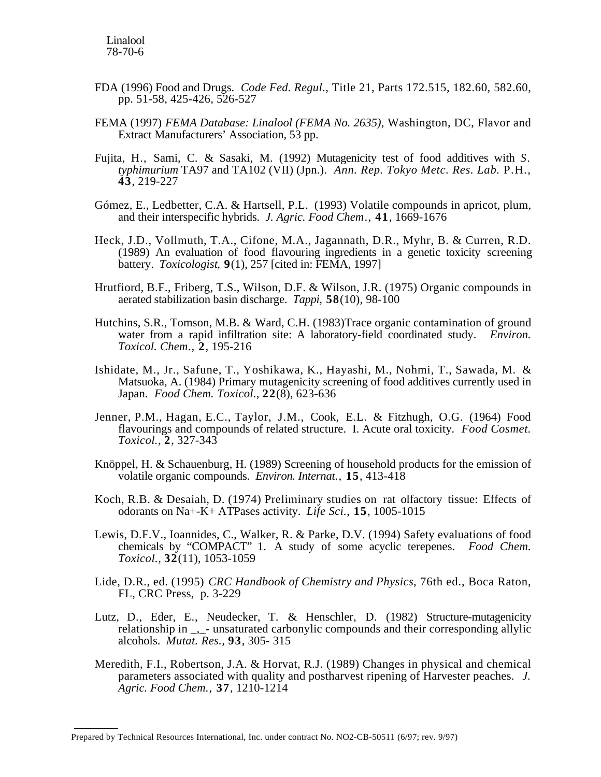- FDA (1996) Food and Drugs. *Code Fed. Regul*., Title 21, Parts 172.515, 182.60, 582.60, pp. 51-58, 425-426, 526-527
- FEMA (1997) *FEMA Database: Linalool (FEMA No. 2635)*, Washington, DC, Flavor and Extract Manufacturers' Association, 53 pp.
- Fujita, H., Sami, C. & Sasaki, M. (1992) Mutagenicity test of food additives with *S. typhimurium* TA97 and TA102 (VII) (Jpn.). *Ann. Rep. Tokyo Metc. Res. Lab.* P.H., **43**, 219-227
- Gómez, E., Ledbetter, C.A. & Hartsell, P.L. (1993) Volatile compounds in apricot, plum, and their interspecific hybrids. *J. Agric. Food Chem*., **41**, 1669-1676
- Heck, J.D., Vollmuth, T.A., Cifone, M.A., Jagannath, D.R., Myhr, B. & Curren, R.D. (1989) An evaluation of food flavouring ingredients in a genetic toxicity screening battery. *Toxicologist*, **9**(1), 257 [cited in: FEMA, 1997]
- Hrutfiord, B.F., Friberg, T.S., Wilson, D.F. & Wilson, J.R. (1975) Organic compounds in aerated stabilization basin discharge. *Tappi*, **58**(10), 98-100
- Hutchins, S.R., Tomson, M.B. & Ward, C.H. (1983)Trace organic contamination of ground water from a rapid infiltration site: A laboratory-field coordinated study. *Environ. Toxicol. Chem*., **2**, 195-216
- Ishidate, M., Jr., Safune, T., Yoshikawa, K., Hayashi, M., Nohmi, T., Sawada, M. & Matsuoka, A. (1984) Primary mutagenicity screening of food additives currently used in Japan. *Food Chem. Toxicol.,* **22**(8), 623-636
- Jenner, P.M., Hagan, E.C., Taylor, J.M., Cook, E.L. & Fitzhugh, O.G. (1964) Food flavourings and compounds of related structure. I. Acute oral toxicity*. Food Cosmet. Toxicol.,* **2**, 327-343
- Knöppel, H. & Schauenburg, H. (1989) Screening of household products for the emission of volatile organic compounds. *Environ. Internat*., **15**, 413-418
- Koch, R.B. & Desaiah, D. (1974) Preliminary studies on rat olfactory tissue: Effects of odorants on Na+-K+ ATPases activity. *Life Sci.*, **15**, 1005-1015
- Lewis, D.F.V., Ioannides, C., Walker, R. & Parke, D.V. (1994) Safety evaluations of food chemicals by "COMPACT" 1. A study of some acyclic terepenes. *Food Chem. Toxicol.,* **32**(11), 1053-1059
- Lide, D.R., ed. (1995) *CRC Handbook of Chemistry and Physics*, 76th ed., Boca Raton, FL, CRC Press, p. 3-229
- Lutz, D., Eder, E., Neudecker, T. & Henschler, D. (1982) Structure-mutagenicity relationship in \_,\_- unsaturated carbonylic compounds and their corresponding allylic alcohols. *Mutat. Res.,* **93**, 305- 315
- Meredith, F.I., Robertson, J.A. & Horvat, R.J. (1989) Changes in physical and chemical parameters associated with quality and postharvest ripening of Harvester peaches. *J. Agric. Food Chem*., **37**, 1210-1214

Prepared by Technical Resources International, Inc. under contract No. NO2-CB-50511 (6/97; rev. 9/97)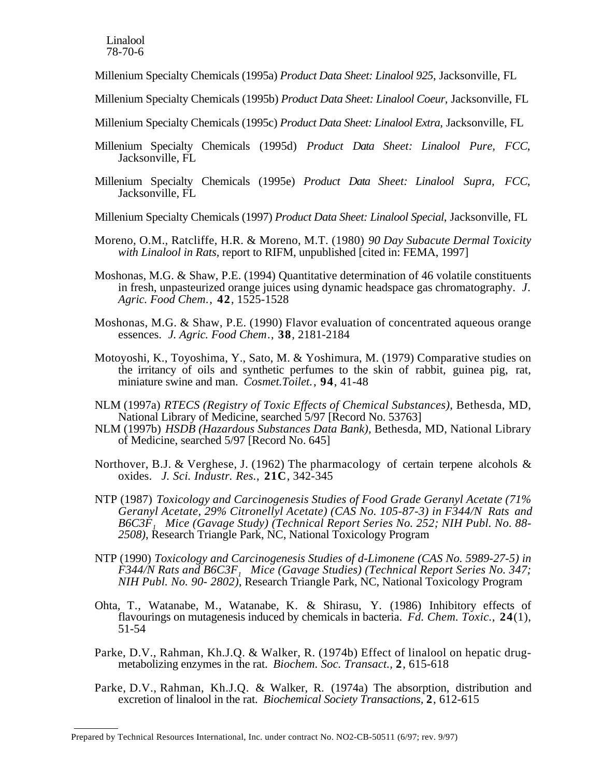Millenium Specialty Chemicals (1995a) *Product Data Sheet: Linalool 925*, Jacksonville, FL

- Millenium Specialty Chemicals (1995b) *Product Data Sheet: Linalool Coeur*, Jacksonville, FL
- Millenium Specialty Chemicals (1995c) *Product Data Sheet: Linalool Extra*, Jacksonville, FL
- Millenium Specialty Chemicals (1995d) *Product Data Sheet: Linalool Pure, FCC*, Jacksonville, FL
- Millenium Specialty Chemicals (1995e) *Product Data Sheet: Linalool Supra, FCC*, Jacksonville, FL
- Millenium Specialty Chemicals (1997) *Product Data Sheet: Linalool Special*, Jacksonville, FL
- Moreno, O.M., Ratcliffe, H.R. & Moreno, M.T. (1980) *90 Day Subacute Dermal Toxicity with Linalool in Rats,* report to RIFM, unpublished [cited in: FEMA, 1997]
- Moshonas, M.G. & Shaw, P.E. (1994) Quantitative determination of 46 volatile constituents in fresh, unpasteurized orange juices using dynamic headspace gas chromatography. *J. Agric. Food Chem*., **42**, 1525-1528
- Moshonas, M.G. & Shaw, P.E. (1990) Flavor evaluation of concentrated aqueous orange essences. *J. Agric. Food Chem*., **38**, 2181-2184
- Motoyoshi, K., Toyoshima, Y., Sato, M. & Yoshimura, M. (1979) Comparative studies on the irritancy of oils and synthetic perfumes to the skin of rabbit, guinea pig, rat, miniature swine and man. *Cosmet.Toilet.*, **94**, 41-48
- NLM (1997a) *RTECS (Registry of Toxic Effects of Chemical Substances)*, Bethesda, MD, National Library of Medicine, searched 5/97 [Record No. 53763]
- NLM (1997b) *HSDB (Hazardous Substances Data Bank),* Bethesda, MD, National Library of Medicine, searched 5/97 [Record No. 645]
- Northover, B.J. & Verghese, J. (1962) The pharmacology of certain terpene alcohols & oxides. *J. Sci. Industr. Res.*, **21C**, 342-345
- NTP (1987) *Toxicology and Carcinogenesis Studies of Food Grade Geranyl Acetate (71% Geranyl Acetate, 29% Citronellyl Acetate) (CAS No. 105-87-3) in F344/N Rats and B6C3F1 Mice (Gavage Study) (Technical Report Series No. 252; NIH Publ. No. 88- 2508)*, Research Triangle Park, NC, National Toxicology Program
- NTP (1990) *Toxicology and Carcinogenesis Studies of d-Limonene (CAS No. 5989-27-5) in F344/N Rats and B6C3F<sub>1</sub> Mice (Gavage Studies) (Technical Report Series No. 347; NIH Publ. No. 90- 2802)*, Research Triangle Park, NC, National Toxicology Program
- Ohta, T., Watanabe, M., Watanabe, K. & Shirasu, Y. (1986) Inhibitory effects of flavourings on mutagenesis induced by chemicals in bacteria. *Fd. Chem. Toxic.*, **24**(1), 51-54
- Parke, D.V., Rahman, Kh.J.Q. & Walker, R. (1974b) Effect of linalool on hepatic drugmetabolizing enzymes in the rat. *Biochem. Soc. Transact.,* **2**, 615-618
- Parke, D.V., Rahman, Kh.J.Q. & Walker, R. (1974a) The absorption, distribution and excretion of linalool in the rat. *Biochemical Society Transactions,* **2**, 612-615

Prepared by Technical Resources International, Inc. under contract No. NO2-CB-50511 (6/97; rev. 9/97)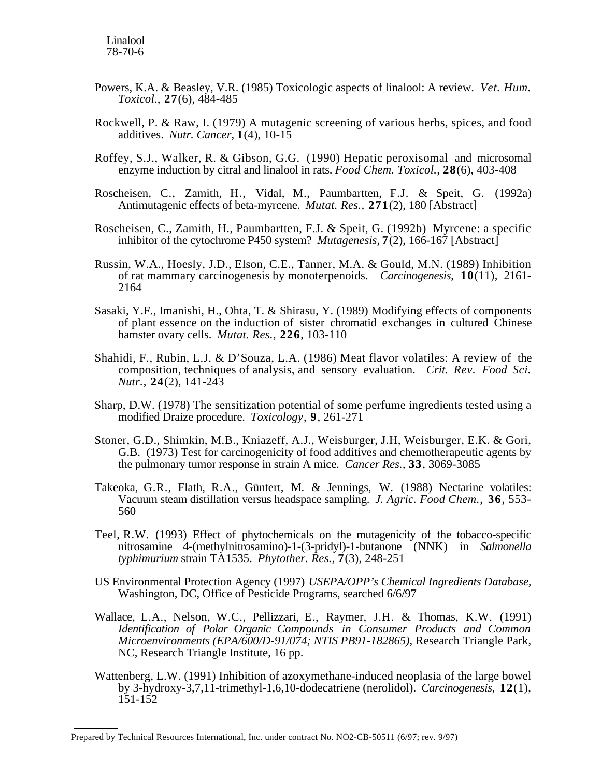- Powers, K.A. & Beasley, V.R. (1985) Toxicologic aspects of linalool: A review. *Vet. Hum. Toxicol.*, **27**(6), 484-485
- Rockwell, P. & Raw, I. (1979) A mutagenic screening of various herbs, spices, and food additives. *Nutr. Cancer,* **1**(4), 10-15
- Roffey, S.J., Walker, R. & Gibson, G.G. (1990) Hepatic peroxisomal and microsomal enzyme induction by citral and linalool in rats. *Food Chem. Toxicol.,* **28**(6), 403-408
- Roscheisen, C., Zamith, H., Vidal, M., Paumbartten, F.J. & Speit, G. (1992a) Antimutagenic effects of beta-myrcene. *Mutat. Res.,* **271**(2), 180 [Abstract]
- Roscheisen, C., Zamith, H., Paumbartten, F.J. & Speit, G. (1992b) Myrcene: a specific inhibitor of the cytochrome P450 system? *Mutagenesis,* **7**(2), 166-167 [Abstract]
- Russin, W.A., Hoesly, J.D., Elson, C.E., Tanner, M.A. & Gould, M.N. (1989) Inhibition of rat mammary carcinogenesis by monoterpenoids. *Carcinogenesis*, **10**(11), 2161- 2164
- Sasaki, Y.F., Imanishi, H., Ohta, T. & Shirasu, Y. (1989) Modifying effects of components of plant essence on the induction of sister chromatid exchanges in cultured Chinese hamster ovary cells. *Mutat. Res.,* **226**, 103-110
- Shahidi, F., Rubin, L.J. & D'Souza, L.A. (1986) Meat flavor volatiles: A review of the composition, techniques of analysis, and sensory evaluation. *Crit. Rev. Food Sci. Nutr*., **24**(2), 141-243
- Sharp, D.W. (1978) The sensitization potential of some perfume ingredients tested using a modified Draize procedure. *Toxicology*, **9**, 261-271
- Stoner, G.D., Shimkin, M.B., Kniazeff, A.J., Weisburger, J.H, Weisburger, E.K. & Gori, G.B. (1973) Test for carcinogenicity of food additives and chemotherapeutic agents by the pulmonary tumor response in strain A mice. *Cancer Res.,* **33**, 3069-3085
- Takeoka, G.R., Flath, R.A., Güntert, M. & Jennings, W. (1988) Nectarine volatiles: Vacuum steam distillation versus headspace sampling. *J. Agric. Food Chem*., **36**, 553- 560
- Teel, R.W. (1993) Effect of phytochemicals on the mutagenicity of the tobacco-specific nitrosamine 4-(methylnitrosamino)-1-(3-pridyl)-1-butanone (NNK) in *Salmonella typhimurium* strain TA1535. *Phytother. Res.,* **7**(3), 248-251
- US Environmental Protection Agency (1997) *USEPA/OPP's Chemical Ingredients Database,*  Washington, DC, Office of Pesticide Programs, searched 6/6/97
- Wallace, L.A., Nelson, W.C., Pellizzari, E., Raymer, J.H. & Thomas, K.W. (1991) *Identification of Polar Organic Compounds in Consumer Products and Common Microenvironments (EPA/600/D-91/074; NTIS PB91-182865)*, Research Triangle Park, NC, Research Triangle Institute, 16 pp.
- Wattenberg, L.W. (1991) Inhibition of azoxymethane-induced neoplasia of the large bowel by 3-hydroxy-3,7,11-trimethyl-1,6,10-dodecatriene (nerolidol). *Carcinogenesis*, **12**(1), 151-152

Prepared by Technical Resources International, Inc. under contract No. NO2-CB-50511 (6/97; rev. 9/97)